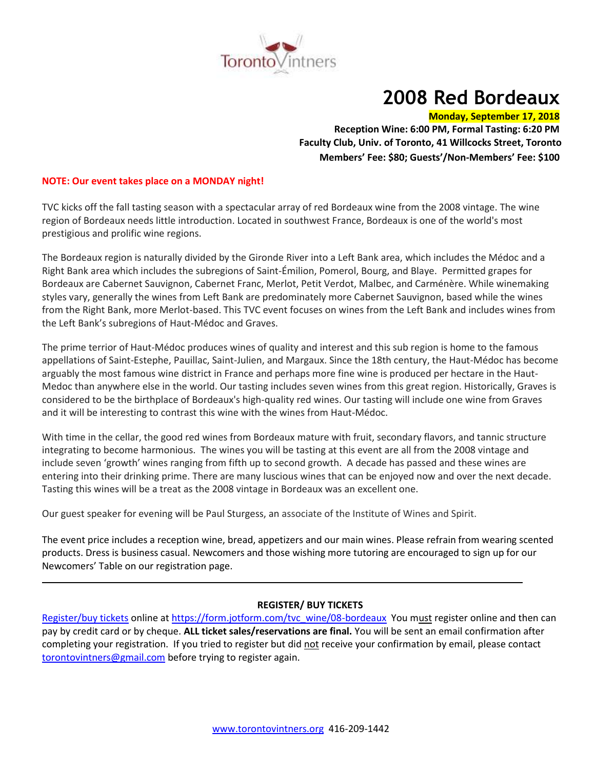

# **2008 Red Bordeaux**

# **Monday, September 17, 2018**

**Reception Wine: 6:00 PM, Formal Tasting: 6:20 PM Faculty Club, Univ. of Toronto, 41 Willcocks Street, Toronto Members' Fee: \$80; Guests'/Non-Members' Fee: \$100**

# **NOTE: Our event takes place on a MONDAY night!**

TVC kicks off the fall tasting season with a spectacular array of red Bordeaux wine from the 2008 vintage. The wine region of Bordeaux needs little introduction. Located in southwest France, Bordeaux is one of the world's most prestigious and prolific wine regions.

The Bordeaux region is naturally divided by the Gironde River into a Left Bank area, which includes the Médoc and a Right Bank area which includes the subregions of Saint-Émilion, Pomerol, Bourg, and Blaye. Permitted grapes for Bordeaux are Cabernet Sauvignon, Cabernet Franc, Merlot, Petit Verdot, Malbec, and Carménère. While winemaking styles vary, generally the wines from Left Bank are predominately more Cabernet Sauvignon, based while the wines from the Right Bank, more Merlot-based. This TVC event focuses on wines from the Left Bank and includes wines from the Left Bank's subregions of Haut-Médoc and Graves.

The prime terrior of Haut-Médoc produces wines of quality and interest and this sub region is home to the famous appellations of Saint-Estephe, Pauillac, Saint-Julien, and Margaux. Since the 18th century, the Haut-Médoc has become arguably the most famous wine district in France and perhaps more fine wine is produced per hectare in the Haut-Medoc than anywhere else in the world. Our tasting includes seven wines from this great region. Historically, Graves is considered to be the birthplace of Bordeaux's high-quality red wines. Our tasting will include one wine from Graves and it will be interesting to contrast this wine with the wines from Haut-Médoc.

With time in the cellar, the good red wines from Bordeaux mature with fruit, secondary flavors, and tannic structure integrating to become harmonious. The wines you will be tasting at this event are all from the 2008 vintage and include seven 'growth' wines ranging from fifth up to second growth. A decade has passed and these wines are entering into their drinking prime. There are many luscious wines that can be enjoyed now and over the next decade. Tasting this wines will be a treat as the 2008 vintage in Bordeaux was an excellent one.

Our guest speaker for evening will be Paul Sturgess, an associate of the Institute of Wines and Spirit.

The event price includes a reception wine, bread, appetizers and our main wines. Please refrain from wearing scented products. Dress is business casual. Newcomers and those wishing more tutoring are encouraged to sign up for our Newcomers' Table on our registration page.

# **REGISTER/ BUY TICKETS**

[Register/buy tickets](https://form.jotform.com/tvc_wine/08-bordeaux) online at [https://form.jotform.com/tvc\\_wine/08-bordeaux](https://form.jotform.com/tvc_wine/08-bordeaux) You must register online and then can pay by credit card or by cheque. **ALL ticket sales/reservations are final.** You will be sent an email confirmation after completing your registration. If you tried to register but did not receive your confirmation by email, please contact [torontovintners@gmail.com](mailto:torontovintners@gmail.com) before trying to register again.